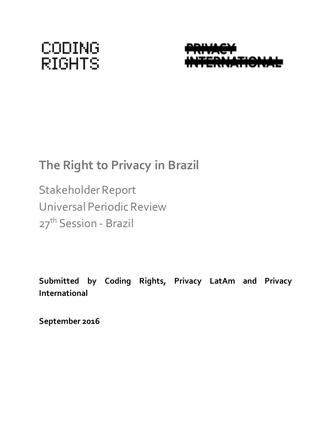# **CODING RIGHTS**



## **The Right to Privacy in Brazil**

Stakeholder Report Universal Periodic Review 27<sup>th</sup> Session - Brazil

**Submitted by Coding Rights, Privacy LatAm and Privacy International**

**September 2016**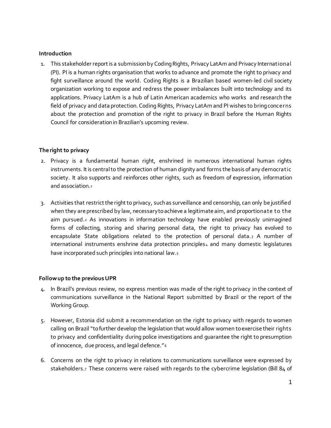#### **Introduction**

1. This stakeholder report is a submission by Coding Rights, Privacy LatAm and Privacy International (PI). PI is a human rights organisation that works to advance and promote the right to privacy and fight surveillance around the world. Coding Rights is a Brazilian based women-led civil society organization working to expose and redress the power imbalances built into technology and its applications. Privacy LatAm is a hub of Latin American academics who works and research the field of privacy and data protection. Coding Rights, Privacy LatAm and PI wishes to bring concerns about the protection and promotion of the right to privacy in Brazil before the Human Rights Council for consideration in Brazilian's upcoming review.

#### **The right to privacy**

- 2. Privacy is a fundamental human right, enshrined in numerous international human rights instruments. It is central to the protection of human dignity and forms the basis of any democratic society. It also supports and reinforces other rights, such as freedom of expression, information and association  $1$
- 3. Activities that restrict the right to privacy, such as surveillance and censorship, can only be justified when they are prescribed by law, necessary to achieve a legitimate aim, and proportionate to the aim pursued.<sup>2</sup> As innovations in information technology have enabled previously unimagined forms of collecting, storing and sharing personal data, the right to privacy has evolved to encapsulate State obligations related to the protection of personal data. <sup>3</sup> A number of international instruments enshrine data protection principles4 and many domestic legislatures have incorporated such principles into national law.5

#### **Follow up to the previous UPR**

- 4. In Brazil's previous review, no express mention was made of the right to privacy in the context of communications surveillance in the National Report submitted by Brazil or the report of the Working Group.
- 5. However, Estonia did submit a recommendation on the right to privacy with regards to women calling on Brazil "to further develop the legislation that would allow women to exercise their rights to privacy and confidentiality during police investigations and guarantee the right to presumption of innocence, due process, and legal defence."<sup>6</sup>
- 6. Concerns on the right to privacy in relations to communications surveillance were expressed by stakeholders.7 These concerns were raised with regards to the cybercrime legislation (Bill 84 of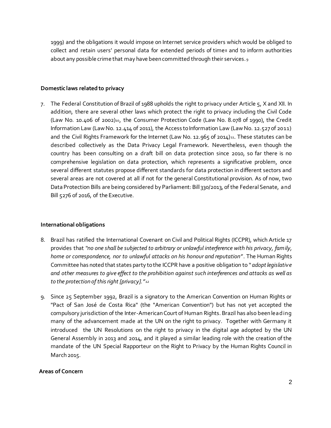1999) and the obligations it would impose on Internet service providers which would be obliged to collect and retain users' personal data for extended periods of time8 and to inform authorities about any possible crime that may have been committed through their services. <sup>9</sup>

#### **Domestic laws related to privacy**

7. The Federal Constitution of Brazil of 1988 upholds the right to privacy under Article 5, X and XII. In addition, there are several other laws which protect the right to privacy including the Civil Code (Law No. 10.406 of 2002)<sup>10</sup>, the Consumer Protection Code (Law No. 8.078 of 1990), the Credit Information Law (Law No. 12.414 of 2011), the Access to Information Law (Law No. 12.527 of 2011) and the Civil Rights Framework for the Internet (Law No. 12.965 of 2014)<sup>11</sup>. These statutes can be described collectively as the Data Privacy Legal Framework. Nevertheless, even though the country has been consulting on a draft bill on data protection since 2010, so far there is no comprehensive legislation on data protection, which represents a significative problem, once several different statutes propose different standards for data protection in different sectors and several areas are not covered at all if not for the general Constitutional provision. As of now, two Data Protection Bills are being considered by Parliament: Bill 330/2013, of the Federal Senate, and Bill 5276 of 2016, of the Executive.

#### **International obligations**

- 8. Brazil has ratified the International Covenant on Civil and Political Rights (ICCPR), which Article 17 provides that *"no one shall be subjected to arbitrary or unlawful interference with his privacy, family, home or correspondence, nor to unlawful attacks on his honour and reputation"*. The Human Rights Committee has noted that states party to the ICCPR have a positive obligation to "*adopt legislativ e and other measures to give effect to the prohibition against such interferences and attacks as well as to the protection of this right [privacy]."<sup>12</sup>*
- 9. Since 25 September 1992, Brazil is a signatory to the American Convention on Human Rights or "Pact of San José de Costa Rica" (the "American Convention") but has not yet accepted the compulsory jurisdiction of the Inter-American Court of Human Rights. Brazil has also been lead ing many of the advancement made at the UN on the right to privacy. Together with Germany it introduced the UN Resolutions on the right to privacy in the digital age adopted by the UN General Assembly in 2013 and 2014, and it played a similar leading role with the creation of the mandate of the UN Special Rapporteur on the Right to Privacy by the Human Rights Council in March 2015.

#### **Areas of Concern**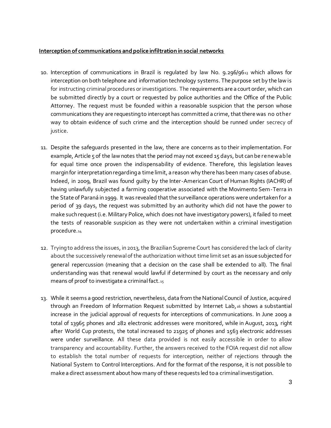#### **Interception of communications and police infiltration in social networks**

- 10. Interception of communications in Brazil is regulated by law No.  $9.296/96_{13}$  which allows for interception on both telephone and information technology systems. The purpose set by the law is for instructing criminal procedures or investigations. The requirements are a court order, which can be submitted directly by a court or requested by police authorities and the Office of the Public Attorney. The request must be founded within a reasonable suspicion that the person whose communications they are requesting to intercept has committed a crime, that there was no other way to obtain evidence of such crime and the interception should be runned under secrecy of justice.
- 11. Despite the safeguards presented in the law, there are concerns as to their implementation. For example, Article 5 of the law notes that the period may not exceed 15 days, but can be renewable for equal time once proven the indispensability of evidence. Therefore, this legislation leaves margin for interpretation regarding a time limit, a reason why there has been many cases of abuse. Indeed, in 2009, Brazil was found guilty by the Inter-American Court of Human Rights (IACHR) of having unlawfully subjected a farming cooperative associated with the Movimento Sem-Terra in the State of Paraná in 1999. It was revealed that the surveillance operations were undertaken for a period of 39 days, the request was submitted by an authority which did not have the power to make such request (i.e. Military Police, which does not have investigatory powers), it failed to meet the tests of reasonable suspicion as they were not undertaken within a criminal investigation procedure.<sup>14</sup>
- 12. Trying to address the issues, in 2013, the Brazilian Supreme Court has considered the lack of clarity about the successively renewal of the authorization without time limit set as an issue subjected for general repercussion (meaning that a decision on the case shall be extended to all). The final understanding was that renewal would lawful if determined by court as the necessary and only means of proof to investigate a criminal fact.<sup>15</sup>
- 13. While it seems a good restriction, nevertheless, data from the National Council of Justice, acquired through an Freedom of Information Request submitted by Internet Lab, <sup>16</sup> shows a substantial increase in the judicial approval of requests for interceptions of communications. In June 2009 a total of 13965 phones and 282 electronic addresses were monitored, while in August, 2013, right after World Cup protests, the total increased to 21925 of phones and 1563 electronic addresses were under surveillance. All these data provided is not easily accessible in order to allow transparency and accountability. Further, the answers received to the FOIA request did not allow to establish the total number of requests for interception, neither of rejections through the National System to Control Interceptions. And for the format of the response, it is not possible to make a direct assessment about how many of these requests led to a criminal investigation.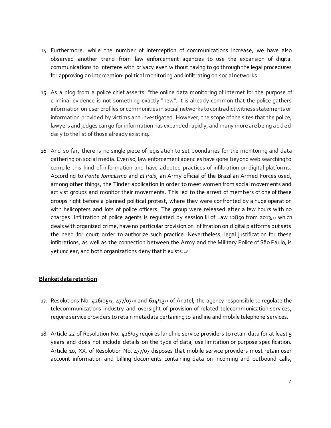- 14. Furthermore, while the number of interception of communications increase, we have also observed another trend from law enforcement agencies to use the expansion of digital communications to interfere with privacy even without having to go through the legal procedures for approving an interception: political monitoring and infiltrating on social networks.
- 15. As a blog from a police chief asserts: "the online data monitoring of internet for the purpose of criminal evidence is not something exactly "new". It is already common that the police gathers information on user profiles or communities in social networks to contradict witness statements or information provided by victims and investigated. However, the scope of the sites that the police, lawyers and judges can go for information has expanded rapidly, and many more are being ad d ed daily to the list of those already existing."
- 16. And so far, there is no single piece of legislation to set boundaries for the monitoring and data gathering on social media. Even so, law enforcement agencies have gone beyond web searching to compile this kind of information and have adopted practices of infiltration on digital platforms. According to *Ponte Jornalismo* and *El País*, an Army official of the Brazilian Armed Forces used, among other things, the Tinder application in order to meet women from social movements and activist groups and monitor their movements. This led to the arrest of members of one of these groups right before a planned political protest, where they were confronted by a huge operation with helicopters and lots of police officers. The group were released after a few hours with no charges. Infiltration of police agents is regulated by session III of Law 12850 from 2013,17 which deals with organized crime, have no particular provision on infiltration on digital platforms but sets the need for court order to authorize such practice. Nevertheless, legal justification for these infiltrations, as well as the connection between the Army and the Military Police of São Paulo, is yet unclear, and both organizations deny that it exists. <sup>18</sup>

#### **Blanket data retention**

- 17. Resolutions No.  $426/0519$ ,  $477/0720$  and  $614/1321$  of Anatel, the agency responsible to regulate the telecommunications industry and oversight of provision of related telecommunication services, require service providers to retain metadata pertaining to landline and mobile telephone services.
- 18. Article 22 of Resolution No. 426/05 requires landline service providers to retain data for at least 5 years and does not include details on the type of data, use limitation or purpose specification. Article 10, XX, of Resolution No. 477/07 disposes that mobile service providers must retain user account information and billing documents containing data on incoming and outbound calls,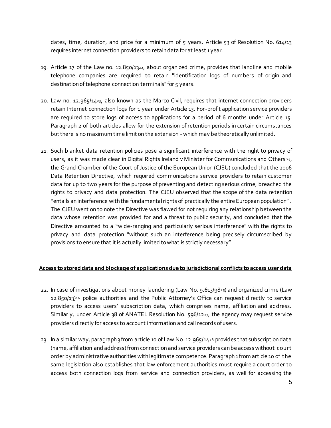dates, time, duration, and price for a minimum of 5 years. Article 53 of Resolution No. 614/13 requires internet connection providers to retain data for at least 1 year.

- 19. Article 17 of the Law no. 12.850/1322, about organized crime, provides that landline and mobile telephone companies are required to retain "identification logs of numbers of origin and destination of telephone connection terminals" for 5 years.
- 20. Law no. 12.965/1423, also known as the Marco Civil, requires that internet connection providers retain Internet connection logs for 1 year under Article 13. For-profit application service providers are required to store logs of access to applications for a period of 6 months under Article 15. Paragraph 2 of both articles allow for the extension of retention periods in certain circumstances but there is no maximum time limit on the extension - which may be theoretically unlimited.
- 21. Such blanket data retention policies pose a significant interference with the right to privacy of users, as it was made clear in Digital Rights Ireland v Minister for Communications and Others 24, the Grand Chamber of the Court of Justice of the European Union (CJEU) concluded that the 2006 Data Retention Directive, which required communications service providers to retain customer data for up to two years for the purpose of preventing and detecting serious crime, breached the rights to privacy and data protection. The CJEU observed that the scope of the data retention "entails an interference with the fundamental rights of practically the entire European population" . The CJEU went on to note the Directive was flawed for not requiring any relationship between the data whose retention was provided for and a threat to public security, and concluded that the Directive amounted to a "wide-ranging and particularly serious interference" with the rights to privacy and data protection "without such an interference being precisely circumscribed by provisions to ensure that it is actually limited to what is strictly necessary".

#### **Access to stored data and blockage of applications due to jurisdictional conflicts to access user data**

- 22. In case of investigations about money laundering (Law No. 9.613/9825) and organized crime (Law 12.850/13)<sup>26</sup> police authorities and the Public Attorney's Office can request directly to service providers to access users' subscription data, which comprises name, affiliation and address. Similarly, under Article 38 of ANATEL Resolution No. 596/1227, the agency may request service providers directly for access to account information and call records of users.
- 23. In a similar way, paragraph 3 from article 10 of Law No. 12.965/14<sup>28</sup> provides that subscription data (name, affiliation and address) from connection and service providers can be access without court order by administrative authorities with legitimate competence. Paragraph 1 from article 10 of the same legislation also establishes that law enforcement authorities must require a court order to access both connection logs from service and connection providers, as well for accessing the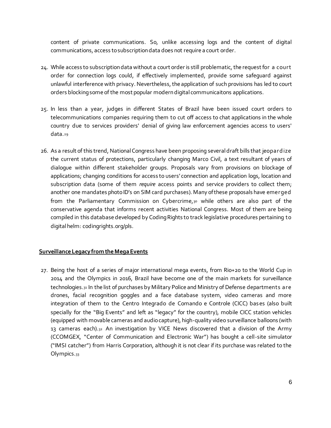content of private communications. So, unlike accessing logs and the content of digital communications, access to subscription data does not require a court order.

- 24. While access to subscription data without a court order is still problematic, the request for a court order for connection logs could, if effectively implemented, provide some safeguard against unlawful interference with privacy. Nevertheless, the application of such provisions has led to court orders blocking some of the most popular modern digital communicaitons applications.
- 25. In less than a year, judges in different States of Brazil have been issued court orders to telecommunications companies requiring them to cut off access to chat applications in the whole country due to services providers' denial of giving law enforcement agencies access to users' data.<sup>29</sup>
- 26. As a result of this trend, National Congress have been proposing several draft bills that jeopard ize the current status of protections, particularly changing Marco Civil, a text resultant of years of dialogue within different stakeholder groups. Proposals vary from provisions on blockage of applications; changing conditions for access to users' connection and application logs, location and subscription data (some of them *require* access points and service providers to collect them; another one mandates photo ID's on SIM card purchases). Many of these proposals have emerged from the Parliamentary Commission on Cybercrime,30 while others are also part of the conservative agenda that informs recent activities National Congress. Most of them are being compiled in this database developed by Coding Rights to track legislative procedures pertaining to digital helm: codingrights.org/pls.

#### **Surveillance Legacy from the Mega Events**

27. Being the host of a series of major international mega events, from Rio+20 to the World Cup in 2014 and the Olympics in 2016, Brazil have become one of the main markets for surveillance technologies.<sub>31</sub> In the list of purchases by Military Police and Ministry of Defense departments are drones, facial recognition goggles and a face database system, video cameras and more integration of them to the Centro Integrado de Comando e Controle (CICC) bases (also built specially for the "Big Events" and left as "legacy" for the country), mobile CICC station vehicles (equipped with movable cameras and audio capture), high-quality video surveillance balloons (with 13 cameras each).32 An investigation by VICE News discovered that a division of the Army (CCOMGEX, "Center of Communication and Electronic War") has bought a cell-site simulator ("IMSI catcher") from Harris Corporation, although it is not clear if its purchase was related to the Olympics.<sub>33</sub>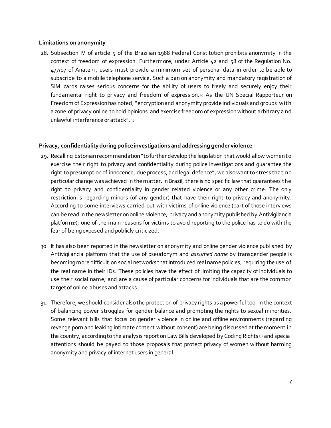#### **Limitations on anonymity**

28. Subsection IV of article 5 of the Brazilian 1988 Federal Constitution prohibits anonymity in the context of freedom of expression. Furthermore, under Article 42 and 58 of the Regulation No. 477/07 of Anatel<sub>34</sub>, users must provide a minimum set of personal data in order to be able to subscribe to a mobile telephone service. Such a ban on anonymity and mandatory registration of SIM cards raises serious concerns for the ability of users to freely and securely enjoy their fundamental right to privacy and freedom of expression.35 As the UN Special Rapporteur on Freedom of Expression has noted, "encryption and anonymity provide individuals and groups with a zone of privacy online to hold opinions and exercise freedom of expression without arbitrary a nd unlawful interference or attack".<sup>36</sup>

### **Privacy, confidentiality during police investigations and addressing gender violence**

- 29. Recalling Estonian recommendation "to further develop the legislation that would allow women to exercise their right to privacy and confidentiality during police investigations and guarantee the right to presumption of innocence, due process, and legal defence", we also want to stress that no particular change was achieved in the matter. In Brazil, there is no specific law that guarantees the right to privacy and confidentiality in gender related violence or any other crime. The only restriction is regarding minors (of any gender) that have their right to privacy and anonymity. According to some interviews carried out with victims of online violence (part of those interviews can be read in the newsletter on online violence, privacy and anonymity published by Antivigilancia platform<sub>37</sub>), one of the main reasons for victims to avoid reporting to the police has to do with the fear of being exposed and publicly criticized.
- 30. It has also been reported in the newsletter on anonymity and online gender violence published by Antivigilancia platform that the use of pseudonym and *assumed name* by transgender people is becoming more difficult on social networks that introduced real name policies, requiring the use of the real name in their IDs. These policies have the effect of limiting the capacity of individuals to use their social name, and are a cause of particular concerns for individuals that are the common target of online abuses and attacks.
- 31. Therefore, we should consider also the protection of privacy rights as a powerful tool in the context of balancing power struggles for gender balance and promoting the rights to sexual minorities. Some relevant bills that focus on gender violence in online and offline environments (regarding revenge porn and leaking intimate content without consent) are being discussed at the moment in the country, according to the analysis report on Law Bills developed by Coding Rights 38 and special attentions should be payed to those proposals that protect privacy of women without harming anonymity and privacy of internet users in general.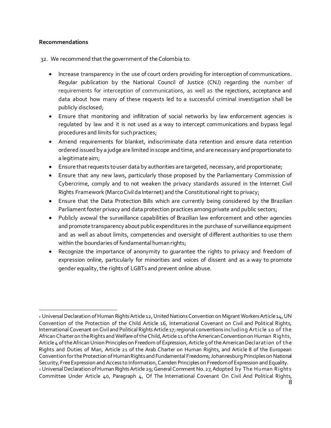#### **Recommendations**

32. We recommend that the government of the Colombia to:

- Increase transparency in the use of court orders providing for interception of communications. Regular publication by the National Council of Justice (CNJ) regarding the number of requirements for interception of communications, as well as the rejections, acceptance and data about how many of these requests led to a successful criminal investigation shall be publicly disclosed;
- Ensure that monitoring and infiltration of social networks by law enforcement agencies is regulated by law and it is not used as a way to intercept communications and bypass legal procedures and limits for such practices;
- Amend requirements for blanket, indiscriminate data retention and ensure data retention ordered issued by a judge are limited in scope and time, and are necessary and proportionate to a legitimate aim;
- Ensure that requests to user data by authorities are targeted, necessary,and proportionate;
- Ensure that any new laws, particularly those proposed by the Parliamentary Commission of Cybercrime, comply and to not weaken the privacy standards assured in the Internet Civil Rights Framework (Marco Civil da Internet) and the Constitutional right to privacy;
- Ensure that the Data Protection Bills which are currently being considered by the Brazilian Parliament foster privacy and data protection practices among private and public sectors;
- Publicly avowal the surveillance capabilities of Brazilian law enforcement and other agencies and promote transparency about public expenditures in the purchase of surveillance equipment and as well as about limits, competencies and oversight of different authorities to use them within the boundaries of fundamental human rights;
- Recognize the importance of anonymity to guarantee the rights to privacy and freedom of expression online, particularly for minorities and voices of dissent and as a way to promote gender equality, the rights of LGBTs and prevent online abuse.

l <sup>1</sup> Universal Declaration of Human Rights Article 12, United Nations Convention on Migrant Workers Article 14, UN Convention of the Protection of the Child Article 16, International Covenant on Civil and Political Rights, International Covenant on Civil and Political Rights Article 17; regional conventions including Art icle 10 of t he African Charter on the Rights and Welfare of the Child, Article 11 of the American Convention on Human Rights, Article 4 of the African Union Principles on Freedom of Expression, Article 5 of the American Declarat ion of t he Rights and Duties of Man, Article 21 of the Arab Charter on Human Rights, and Article 8 of the European Convention for the Protection of Human Rights and Fundamental Freedoms; Johannesburg Principles on National Security, Free Expression and Access to Information, Camden Principles on Freedom of Expression and Equality. 2 Universal Declaration of Human Rights Article 29; General Comment No. 27, Adopted by The Human Rights Committee Under Article 40, Paragraph 4, Of The International Covenant On Civil And Political Rights,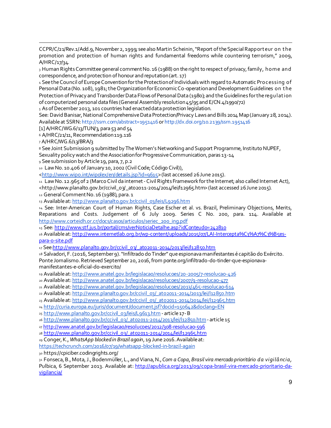CCPR/C/21/Rev.1/Add.9, November 2, 1999; see also Martin Scheinin, "Report of the Special Rapport eur on t he promotion and protection of human rights and fundamental freedoms while countering terrorism," 2009, A/HRC/17/34.

<sup>3</sup> Human Rights Committee general comment No. 16 (1988) on the right to respect of privacy, family, home and correspondence, and protection of honour and reputation (art. 17)

<sup>4</sup> See the Council of Europe Convention for the Protection of Individuals with regard to Automatic Processing of Personal Data (No. 108), 1981; the Organization for Economic Co-operation and Development Guidelines on t he Protection of Privacy and Transborder Data Flows of Personal Data (1980); and the Guidelines for the regulat ion of computerized personal data files (General Assembly resolution  $45/95$  and E/CN. $4/1990/72$ )

<sup>5</sup> As of December 2013, 101 countries had enacted data protection legislation.

See: David Banisar, National Comprehensive Data Protection/Privacy Laws and Bills 2014 Map (January 28, 2014). Available at SSRN: http://ssrn.com/abstract=1951416 or http://dx.doi.org/10.2139/ssrn.1951416

 $\lceil 1 \rceil$  A/HRC/WG.6/13/TUN/3, para 53 and 54

<sup>6</sup> A/HRC/21/11, Recommendation 119.116

<sup>7</sup> A/HRC/WG.6/13/BRA/3

l

8 See Joint Submission 9 submitted by The Women's Networking and Support Programme, Instituto NUPEF,

Sexuality policy watch and the Association for Progressive Communication, paras 13-14

<sup>9</sup> See submission by Article 19, para, 7, p.2

10 Law No. 10.406 of January 10, 2002 (Civil Code; Código Civil)),

<http://www.wipo.int/wipolex/en/details.jsp?id=9615> (last accessed 26 June 2015).

<sup>11</sup> Law No. 12.965 of 2 (Marco Civil da internet -Civil Rights Framework for the Internet; also called Internet Act), <http://www.planalto.gov.br/ccivil\_03/\_ato2011-2014/2014/lei/l12965.htm> (last accessed 26 June 2015).

<sup>12</sup> General Comment No. 16 (1988), para. 1

13 Available at: http://www.planalto.gov.br/ccivil\_03/leis/L9296.htm

<sup>14</sup> See: Inter-American Court of Human Rights, Case Escher et al. vs. Brazil, Preliminary Objections, Merits, Reparations and Costs. Judgement of 6 July 2009. Series C No. 200, para. 114. Available at http://www.corteidh.or.cr/docs/casos/articulos/seriec\_200\_ing.pdf

<sup>15</sup> See: http://www.stf.jus.br/portal/cms/verNoticiaDetalhe.asp?idConteudo=242810

16 Available at: http://www.internetlab.org.br/wp-content/uploads/2015/07/LAI-Intercepta%C3%A7%C3%B5espara-o-site.pdf

<sup>17</sup> See:http://www.planalto.gov.br/ccivil\_03/\_ato2011-2014/2013/lei/l12850.htm

<sup>18</sup> Salvadori, F. (2016, September 9). "Infiltrado do Tinder" que espionava manifestantes é capitão do Exército. Ponte Jornalismo. Retrieved September 20, 2016, from ponte.org/infiltrado-do-tinder-que-espionavamanifestantes-e-oficial-do-exercito/

<sup>19</sup> Available at:http://www.anatel.gov.br/legislacao/resolucoes/20-2005/7-resolucao-426

<sup>20</sup> Available at:http://www.anatel.gov.br/legislacao/resolucoes/2007/9-resolucao-477

<sup>21</sup> Available at:http://www.anatel.gov.br/legislacao/resolucoes/2013/465-resolucao-614

<sup>22</sup> Available at:http://www.planalto.gov.br/ccivil\_03/\_ato2011-2014/2013/lei/l12850.htm

23 Available at: http://www.planalto.gov.br/ccivil\_03/\_ato2011-2014/2014/lei/l12965.htm

<sup>24</sup> http://curia.europa.eu/juris/document/document.jsf?docid=150642&doclang=EN

<sup>25</sup> http://www.planalto.gov.br/ccivil\_03/leis/L9613.htm - article 17-B

<sup>26</sup> http://www.planalto.gov.br/ccivil\_03/\_ato2011-2014/2013/lei/l12850.htm- article 15

<sup>27</sup> http://www.anatel.gov.br/legislacao/resolucoes/2012/308-resolucao-596

<sup>28</sup> http://www.planalto.gov.br/ccivil\_03/\_ato2011-2014/2014/lei/l12965.htm

<sup>29</sup> Conger, K., *WhatsApp blocked in Brazil again*, 19 June 2016. Available at:

https://techcrunch.com/2016/07/19/whatsapp-blocked-in-brazil-again

<sup>30</sup> https://cpiciber.codingrights.org/

<sup>31</sup> Fonseca,B., Mota, J., Bodenmüller, L., and Viana, N., *Com a Copa, Brasil vira mercado prioritário d a vigilâ ncia,*  Pulbica, 6 September 2013. Available at: http://apublica.org/2013/09/copa-brasil-vira-mercado-prioritario-davigilancia/